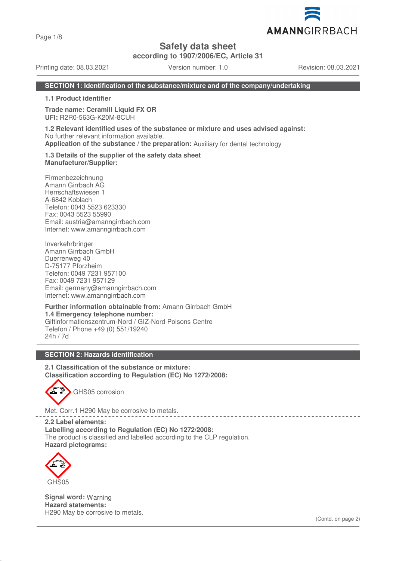Page 1/8

# **Safety data sheet**

**according to 1907/2006/EC, Article 31**

Printing date: 08.03.2021 Version number: 1.0 Revision: 08.03.2021

AMANNGIRRBACH

## **SECTION 1: Identification of the substance/mixture and of the company/undertaking**

**1.1 Product identifier**

**Trade name: Ceramill Liquid FX OR UFI:** R2R0-563G-K20M-8CUH

**1.2 Relevant identified uses of the substance or mixture and uses advised against:** No further relevant information available. **Application of the substance / the preparation:** Auxiliary for dental technology

**1.3 Details of the supplier of the safety data sheet Manufacturer/Supplier:**

Firmenbezeichnung Amann Girrbach AG Herrschaftswiesen 1 A-6842 Koblach Telefon: 0043 5523 623330 Fax: 0043 5523 55990 Email: austria@amanngirrbach.com Internet: www.amanngirrbach.com

Inverkehrbringer Amann Girrbach GmbH Duerrenweg 40 D-75177 Pforzheim Telefon: 0049 7231 957100 Fax: 0049 7231 957129 Email: germany@amanngirrbach.com Internet: www.amanngirrbach.com

**Further information obtainable from:** Amann Girrbach GmbH **1.4 Emergency telephone number:** Giftinformationszentrum-Nord / GIZ-Nord Poisons Centre Telefon / Phone +49 (0) 551/19240 24h / 7d

## **SECTION 2: Hazards identification**

**2.1 Classification of the substance or mixture: Classification according to Regulation (EC) No 1272/2008:**



Met. Corr.1 H290 May be corrosive to metals.

**2.2 Label elements: Labelling according to Regulation (EC) No 1272/2008:** The product is classified and labelled according to the CLP regulation. **Hazard pictograms:**



**Signal word:** Warning **Hazard statements:** H290 May be corrosive to metals.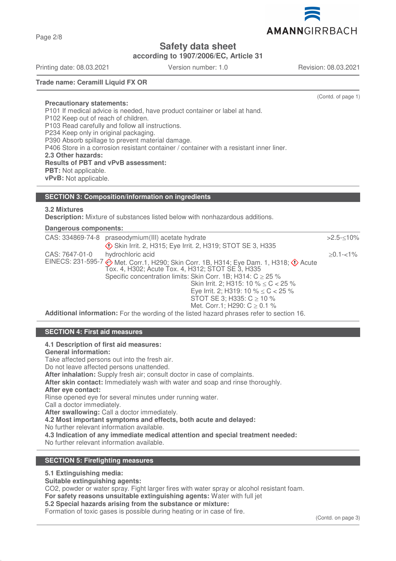Page 2/8

**Safety data sheet**

**according to 1907/2006/EC, Article 31**

Printing date: 08.03.2021 Version number: 1.0 Revision: 08.03.2021

**Trade name: Ceramill Liquid FX OR**

(Contd. of page 1)

**Precautionary statements:** P101 If medical advice is needed, have product container or label at hand. P102 Keep out of reach of children. P103 Read carefully and follow all instructions. P234 Keep only in original packaging. P390 Absorb spillage to prevent material damage. P406 Store in a corrosion resistant container / container with a resistant inner liner. **2.3 Other hazards: Results of PBT and vPvB assessment: PBT:** Not applicable. **vPvB:** Not applicable.

## **SECTION 3: Composition/information on ingredients**

## **3.2 Mixtures**

**Description:** Mixture of substances listed below with nonhazardous additions.

## **Dangerous components:**

| CAS: 334869-74-8 | praseodymium(III) acetate hydrate                                                                                                                                    | $>2.5 - 10\%$ |
|------------------|----------------------------------------------------------------------------------------------------------------------------------------------------------------------|---------------|
|                  | Skin Irrit. 2, H315; Eye Irrit. 2, H319; STOT SE 3, H335                                                                                                             |               |
| CAS: 7647-01-0   | hydrochloric acid                                                                                                                                                    | $>0.1 - 1\%$  |
|                  | EINECS: 231-595-7 $\diamondsuit$ Met. Corr.1, H290; Skin Corr. 1B, H314; Eye Dam. 1, H318; $\diamondsuit$ Acute<br>Tox. 4, H302; Acute Tox. 4, H312; STOT SE 3, H335 |               |
|                  | Specific concentration limits: Skin Corr. 1B; H314: $C \ge 25$ %                                                                                                     |               |
|                  | Skin Irrit. 2; H315: 10 % $\leq$ C $<$ 25 %                                                                                                                          |               |
|                  | Eye Irrit. 2; H319: 10 % $\leq$ C $<$ 25 %                                                                                                                           |               |
|                  | STOT SE 3; H335: $C \ge 10$ %                                                                                                                                        |               |
|                  | Met. Corr.1; H290: $C \ge 0.1$ %                                                                                                                                     |               |
|                  | Additional information: For the wording of the listed hazard phrases refer to section 16.                                                                            |               |

## **SECTION 4: First aid measures**

#### **4.1 Description of first aid measures:**

## **General information:**

Take affected persons out into the fresh air.

Do not leave affected persons unattended.

**After inhalation:** Supply fresh air; consult doctor in case of complaints.

**After skin contact:** Immediately wash with water and soap and rinse thoroughly.

# **After eye contact:**

Rinse opened eye for several minutes under running water.

Call a doctor immediately.

**After swallowing:** Call a doctor immediately.

**4.2 Most important symptoms and effects, both acute and delayed:**

No further relevant information available.

**4.3 Indication of any immediate medical attention and special treatment needed:**

No further relevant information available.

# **SECTION 5: Firefighting measures**

# **5.1 Extinguishing media:**

**Suitable extinguishing agents:**

CO2, powder or water spray. Fight larger fires with water spray or alcohol resistant foam.

**For safety reasons unsuitable extinguishing agents:** Water with full jet

**5.2 Special hazards arising from the substance or mixture:**

Formation of toxic gases is possible during heating or in case of fire.

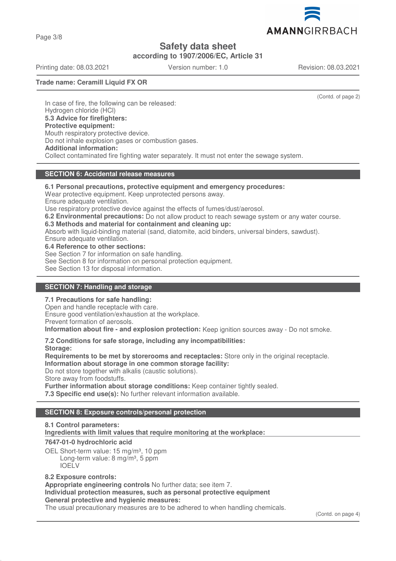Page 3/8

**Safety data sheet**

**according to 1907/2006/EC, Article 31**

Printing date: 08.03.2021 Version number: 1.0 Revision: 08.03.2021

AMANNGIRRBACH

**Trade name: Ceramill Liquid FX OR**

(Contd. of page 2)

In case of fire, the following can be released: Hydrogen chloride (HCl) **5.3 Advice for firefighters: Protective equipment:** Mouth respiratory protective device. Do not inhale explosion gases or combustion gases. **Additional information:** Collect contaminated fire fighting water separately. It must not enter the sewage system.

# **SECTION 6: Accidental release measures**

**6.1 Personal precautions, protective equipment and emergency procedures:** Wear protective equipment. Keep unprotected persons away. Ensure adequate ventilation. Use respiratory protective device against the effects of fumes/dust/aerosol. **6.2 Environmental precautions:** Do not allow product to reach sewage system or any water course. **6.3 Methods and material for containment and cleaning up:** Absorb with liquid-binding material (sand, diatomite, acid binders, universal binders, sawdust). Ensure adequate ventilation. **6.4 Reference to other sections:** See Section 7 for information on safe handling. See Section 8 for information on personal protection equipment. See Section 13 for disposal information.

# **SECTION 7: Handling and storage**

## **7.1 Precautions for safe handling:**

Open and handle receptacle with care.

Ensure good ventilation/exhaustion at the workplace.

Prevent formation of aerosols.

**Information about fire - and explosion protection:** Keep ignition sources away - Do not smoke.

**7.2 Conditions for safe storage, including any incompatibilities: Storage:**

**Requirements to be met by storerooms and receptacles:** Store only in the original receptacle. **Information about storage in one common storage facility:** Do not store together with alkalis (caustic solutions). Store away from foodstuffs. **Further information about storage conditions:** Keep container tightly sealed.

**7.3 Specific end use(s):** No further relevant information available.

# **SECTION 8: Exposure controls/personal protection**

## **8.1 Control parameters:**

**Ingredients with limit values that require monitoring at the workplace:** 

**7647-01-0 hydrochloric acid**

OEL Short-term value: 15 mg/m<sup>3</sup>, 10 ppm Long-term value:  $8 \text{ mg/m}^3$ , 5 ppm IOELV

# **8.2 Exposure controls:**

**Appropriate engineering controls** No further data; see item 7.

#### **Individual protection measures, such as personal protective equipment General protective and hygienic measures:**

The usual precautionary measures are to be adhered to when handling chemicals.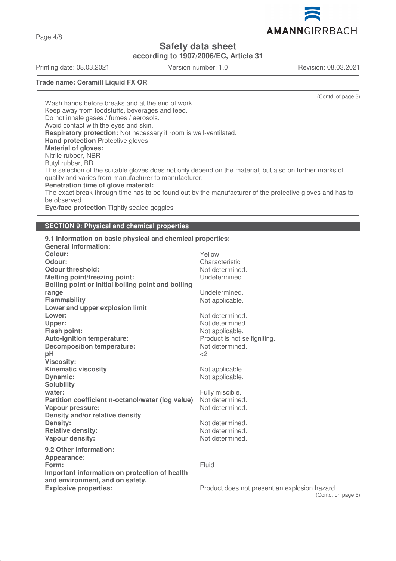

**according to 1907/2006/EC, Article 31**

Printing date: 08.03.2021 Version number: 1.0 Revision: 08.03.2021

Page 4/8

**Trade name: Ceramill Liquid FX OR**

(Contd. of page 3)

(Contd. on page 5)

Wash hands before breaks and at the end of work. Keep away from foodstuffs, beverages and feed. Do not inhale gases / fumes / aerosols. Avoid contact with the eyes and skin. **Respiratory protection:** Not necessary if room is well-ventilated. **Hand protection** Protective gloves **Material of gloves:** Nitrile rubber, NBR Butyl rubber, BR The selection of the suitable gloves does not only depend on the material, but also on further marks of quality and varies from manufacturer to manufacturer. **Penetration time of glove material:** The exact break through time has to be found out by the manufacturer of the protective gloves and has to be observed. **Eye/face protection** Tightly sealed goggles

**SECTION 9: Physical and chemical properties**

| 9.1 Information on basic physical and chemical properties: |                                               |
|------------------------------------------------------------|-----------------------------------------------|
| <b>General Information:</b>                                |                                               |
| Colour:                                                    | Yellow                                        |
| Odour:                                                     | Characteristic                                |
| <b>Odour threshold:</b>                                    | Not determined.                               |
| <b>Melting point/freezing point:</b>                       | Undetermined.                                 |
| Boiling point or initial boiling point and boiling         |                                               |
| range                                                      | Undetermined.                                 |
| Flammability                                               | Not applicable.                               |
| Lower and upper explosion limit                            |                                               |
| Lower:                                                     | Not determined.                               |
| Upper:                                                     | Not determined.                               |
| Flash point:                                               | Not applicable.                               |
| <b>Auto-ignition temperature:</b>                          | Product is not selfigniting.                  |
| <b>Decomposition temperature:</b>                          | Not determined.                               |
| pH                                                         | <                                             |
| <b>Viscosity:</b>                                          |                                               |
| <b>Kinematic viscosity</b>                                 | Not applicable.                               |
| <b>Dynamic:</b>                                            | Not applicable.                               |
| <b>Solubility</b>                                          |                                               |
| water:                                                     | Fully miscible.                               |
| Partition coefficient n-octanol/water (log value)          | Not determined.                               |
| <b>Vapour pressure:</b>                                    | Not determined.                               |
| Density and/or relative density                            |                                               |
| <b>Density:</b>                                            | Not determined.                               |
| <b>Relative density:</b>                                   | Not determined.                               |
| Vapour density:                                            | Not determined.                               |
| 9.2 Other information:                                     |                                               |
| Appearance:                                                |                                               |
| Form:                                                      | Fluid                                         |
| Important information on protection of health              |                                               |
| and environment, and on safety.                            |                                               |
| <b>Explosive properties:</b>                               | Product does not present an explosion hazard. |
|                                                            | (Contd. o                                     |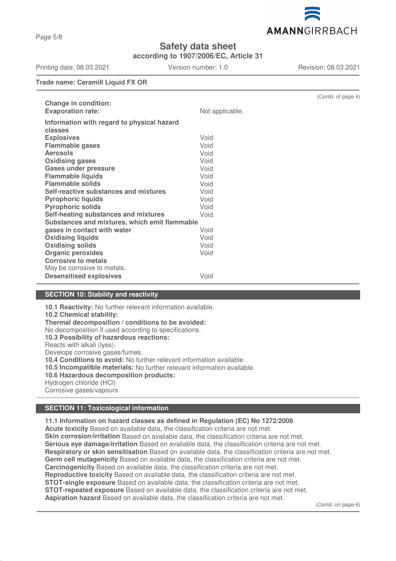

**according to 1907/2006/EC, Article 31**

Printing date: 08.03.2021 Version number: 1.0 Revision: 08.03.2021

**Trade name: Ceramill Liquid FX OR**

|                                               |                 | (Contd. of page 4) |  |  |
|-----------------------------------------------|-----------------|--------------------|--|--|
| <b>Change in condition:</b>                   |                 |                    |  |  |
| <b>Evaporation rate:</b>                      | Not applicable. |                    |  |  |
| Information with regard to physical hazard    |                 |                    |  |  |
| classes                                       |                 |                    |  |  |
| <b>Explosives</b>                             | Void            |                    |  |  |
| <b>Flammable gases</b>                        | Void            |                    |  |  |
| <b>Aerosols</b>                               | Void            |                    |  |  |
| <b>Oxidising gases</b>                        | Void            |                    |  |  |
| <b>Gases under pressure</b>                   | Void            |                    |  |  |
| <b>Flammable liquids</b>                      | Void            |                    |  |  |
| <b>Flammable solids</b>                       | Void            |                    |  |  |
| Self-reactive substances and mixtures         | Void            |                    |  |  |
| <b>Pyrophoric liquids</b>                     | Void            |                    |  |  |
| <b>Pyrophoric solids</b>                      | Void            |                    |  |  |
| Self-heating substances and mixtures          | Void            |                    |  |  |
| Substances and mixtures, which emit flammable |                 |                    |  |  |
| gases in contact with water                   | Void            |                    |  |  |
| <b>Oxidising liquids</b>                      | Void            |                    |  |  |
| <b>Oxidising solids</b>                       | Void            |                    |  |  |
| <b>Organic peroxides</b>                      | Void            |                    |  |  |
| <b>Corrosive to metals</b>                    |                 |                    |  |  |
| May be corrosive to metals.                   |                 |                    |  |  |
| <b>Desensitised explosives</b>                | Void            |                    |  |  |
|                                               |                 |                    |  |  |

## **SECTION 10: Stability and reactivity**

**10.1 Reactivity:** No further relevant information available. **10.2 Chemical stability: Thermal decomposition / conditions to be avoided:** No decomposition if used according to specifications. **10.3 Possibility of hazardous reactions:** Reacts with alkali (lyes). Develops corrosive gases/fumes. **10.4 Conditions to avoid:** No further relevant information available. **10.5 Incompatible materials:** No further relevant information available. **10.6 Hazardous decomposition products:** Hydrogen chloride (HCl) Corrosive gases/vapours

## **SECTION 11: Toxicological information**

**11.1 Information on hazard classes as defined in Regulation (EC) No 1272/2008 Acute toxicity** Based on available data, the classification criteria are not met. **Skin corrosion/irritation** Based on available data, the classification criteria are not met. **Serious eye damage/irritation** Based on available data, the classification criteria are not met. **Respiratory or skin sensitisation** Based on available data, the classification criteria are not met. **Germ cell mutagenicity** Based on available data, the classification criteria are not met. **Carcinogenicity** Based on available data, the classification criteria are not met. **Reproductive toxicity** Based on available data, the classification criteria are not met. **STOT-single exposure** Based on available data, the classification criteria are not met. **STOT-repeated exposure** Based on available data, the classification criteria are not met. **Aspiration hazard** Based on available data, the classification criteria are not met.

(Contd. on page 6)

# Page 5/8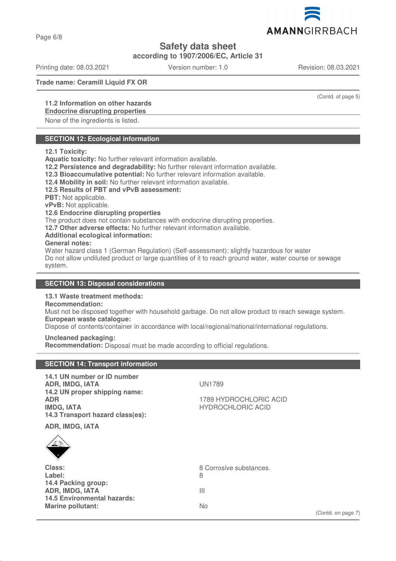Page 6/8

# **Safety data sheet**

**according to 1907/2006/EC, Article 31**

Printing date: 08.03.2021 Version number: 1.0 Revision: 08.03.2021

**Trade name: Ceramill Liquid FX OR**

# **11.2 Information on other hazards**

## **Endocrine disrupting properties**

None of the ingredients is listed.

# **SECTION 12: Ecological information**

### **12.1 Toxicity:**

**Aquatic toxicity:** No further relevant information available.

**12.2 Persistence and degradability:** No further relevant information available.

**12.3 Bioaccumulative potential:** No further relevant information available.

**12.4 Mobility in soil:** No further relevant information available.

### **12.5 Results of PBT and vPvB assessment:**

**PBT:** Not applicable.

**vPvB:** Not applicable.

### **12.6 Endocrine disrupting properties**

The product does not contain substances with endocrine disrupting properties.

**12.7 Other adverse effects:** No further relevant information available.

### **Additional ecological information:**

#### **General notes:**

Water hazard class 1 (German Regulation) (Self-assessment): slightly hazardous for water Do not allow undiluted product or large quantities of it to reach ground water, water course or sewage system.

## **SECTION 13: Disposal considerations**

**SECTION 14: Transport information**

# **13.1 Waste treatment methods:**

# **Recommendation:**

Must not be disposed together with household garbage. Do not allow product to reach sewage system. **European waste catalogue:**

Dispose of contents/container in accordance with local/regional/national/international regulations.

### **Uncleaned packaging:**

**Recommendation:** Disposal must be made according to official regulations.

| 14.1 UN number or ID number<br><b>ADR, IMDG, IATA</b><br>14.2 UN proper shipping name:<br><b>ADR</b><br><b>IMDG, IATA</b><br>14.3 Transport hazard class(es):<br>ADR, IMDG, IATA<br>$\sum_{\underline{u},\underline{v}}\sum_{\underline{u},\underline{v}}\underline{v}$ | <b>UN1789</b><br>1789 HYDROCHLORIC ACID<br><b>HYDROCHLORIC ACID</b> |
|-------------------------------------------------------------------------------------------------------------------------------------------------------------------------------------------------------------------------------------------------------------------------|---------------------------------------------------------------------|
| Class:<br>Label:<br>14.4 Packing group:<br><b>ADR, IMDG, IATA</b><br><b>14.5 Environmental hazards:</b><br><b>Marine pollutant:</b>                                                                                                                                     | 8 Corrosive substances.<br>8<br>Ш<br>No<br>(Contd. on page 7)       |

(Contd. of page 5)

AMANNGIRRBACH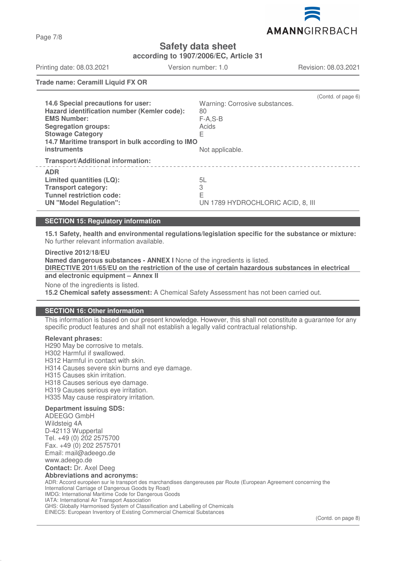

**according to 1907/2006/EC, Article 31**

Printing date: 08.03.2021 Version number: 1.0 Revision: 08.03.2021

**Trade name: Ceramill Liquid FX OR**

| 14.6 Special precautions for user:<br>Hazard identification number (Kemler code):<br><b>EMS Number:</b><br><b>Segregation groups:</b><br><b>Stowage Category</b><br>14.7 Maritime transport in bulk according to IMO<br><b>instruments</b> | Warning: Corrosive substances.<br>80<br>$F-A.S-B$<br>Acids<br>Е<br>Not applicable. | (Contd. of page 6) |
|--------------------------------------------------------------------------------------------------------------------------------------------------------------------------------------------------------------------------------------------|------------------------------------------------------------------------------------|--------------------|
| <b>Transport/Additional information:</b>                                                                                                                                                                                                   |                                                                                    |                    |
| <b>ADR</b><br>Limited quantities (LQ):<br><b>Transport category:</b><br><b>Tunnel restriction code:</b><br><b>UN "Model Regulation":</b>                                                                                                   | 5L<br>3<br>E<br>UN 1789 HYDROCHLORIC ACID, 8, III                                  |                    |

## **SECTION 15: Regulatory information**

**15.1 Safety, health and environmental regulations/legislation specific for the substance or mixture:** No further relevant information available.

**Directive 2012/18/EU Named dangerous substances - ANNEX I** None of the ingredients is listed. **DIRECTIVE 2011/65/EU on the restriction of the use of certain hazardous substances in electrical and electronic equipment – Annex II** None of the ingredients is listed. **15.2 Chemical safety assessment:** A Chemical Safety Assessment has not been carried out.

### **SECTION 16: Other information**

This information is based on our present knowledge. However, this shall not constitute a guarantee for any specific product features and shall not establish a legally valid contractual relationship.

### **Relevant phrases:**

H290 May be corrosive to metals. H302 Harmful if swallowed. H312 Harmful in contact with skin. H314 Causes severe skin burns and eye damage. H315 Causes skin irritation. H318 Causes serious eye damage. H319 Causes serious eye irritation. H335 May cause respiratory irritation.

### **Department issuing SDS:**

ADEEGO GmbH Wildsteig 4A D-42113 Wuppertal Tel. +49 (0) 202 2575700 Fax. +49 (0) 202 2575701 Email: mail@adeego.de www.adeego.de **Contact:** Dr. Axel Deeg **Abbreviations and acronyms:** ADR: Accord européen sur le transport des marchandises dangereuses par Route (European Agreement concerning the International Carriage of Dangerous Goods by Road) IMDG: International Maritime Code for Dangerous Goods IATA: International Air Transport Association GHS: Globally Harmonised System of Classification and Labelling of Chemicals

EINECS: European Inventory of Existing Commercial Chemical Substances

Page 7/8